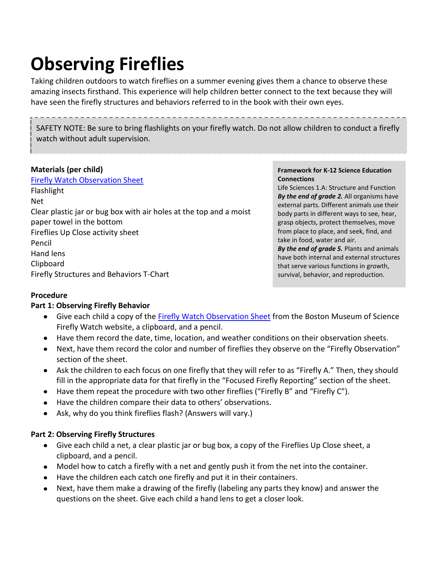# **Observing Fireflies**

Taking children outdoors to watch fireflies on a summer evening gives them a chance to observe these amazing insects firsthand. This experience will help children better connect to the text because they will have seen the firefly structures and behaviors referred to in the book with their own eyes.

SAFETY NOTE: Be sure to bring flashlights on your firefly watch. Do not allow children to conduct a firefly watch without adult supervision.

#### **Materials (per child)**

[Firefly Watch Observation Sheet](https://legacy.mos.org/fireflywatch/images/FW_observations.pdf) Flashlight Net Clear plastic jar or bug box with air holes at the top and a moist paper towel in the bottom Fireflies Up Close activity sheet Pencil Hand lens Clipboard Firefly Structures and Behaviors T-Chart

#### **Framework for K-12 Science Education Connections**

Life Sciences 1.A: Structure and Function *By the end of grade 2.* All organisms have external parts. Different animals use their body parts in different ways to see, hear, grasp objects, protect themselves, move from place to place, and seek, find, and take in food, water and air. *By the end of grade 5.* Plants and animals have both internal and external structures that serve various functions in growth, survival, behavior, and reproduction.

#### **Procedure**

#### **Part 1: Observing Firefly Behavior**

- $\bullet$ Give each child a copy of the **Firefly Watch Observation Sheet** from the Boston Museum of Science Firefly Watch website, a clipboard, and a pencil.
- Have them record the date, time, location, and weather conditions on their observation sheets.
- Next, have them record the color and number of fireflies they observe on the "Firefly Observation"  $\bullet$ section of the sheet.
- Ask the children to each focus on one firefly that they will refer to as "Firefly A." Then, they should fill in the appropriate data for that firefly in the "Focused Firefly Reporting" section of the sheet.
- Have them repeat the procedure with two other fireflies ("Firefly B" and "Firefly C").
- Have the children compare their data to others' observations.
- Ask, why do you think fireflies flash? (Answers will vary.)

#### **Part 2: Observing Firefly Structures**

- Give each child a net, a clear plastic jar or bug box, a copy of the Fireflies Up Close sheet, a clipboard, and a pencil.
- Model how to catch a firefly with a net and gently push it from the net into the container.
- Have the children each catch one firefly and put it in their containers.
- Next, have them make a drawing of the firefly (labeling any parts they know) and answer the  $\bullet$ questions on the sheet. Give each child a hand lens to get a closer look.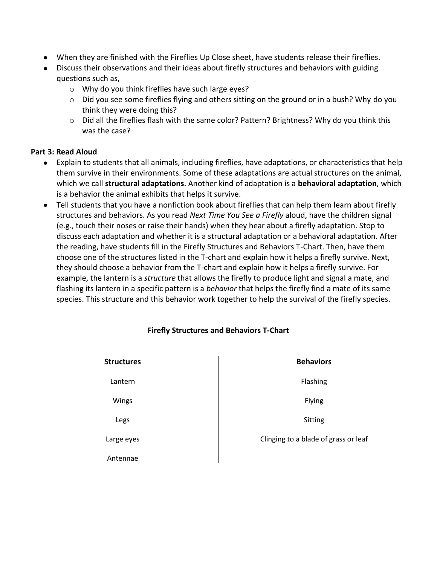- When they are finished with the Fireflies Up Close sheet, have students release their fireflies.
- Discuss their observations and their ideas about firefly structures and behaviors with guiding questions such as,
	- o Why do you think fireflies have such large eyes?
	- $\circ$  Did you see some fireflies flying and others sitting on the ground or in a bush? Why do you think they were doing this?
	- o Did all the fireflies flash with the same color? Pattern? Brightness? Why do you think this was the case?

#### **Part 3: Read Aloud**

- Explain to students that all animals, including fireflies, have adaptations, or characteristics that help them survive in their environments. Some of these adaptations are actual structures on the animal, which we call **structural adaptations**. Another kind of adaptation is a **behavioral adaptation**, which is a behavior the animal exhibits that helps it survive.
- Tell students that you have a nonfiction book about fireflies that can help them learn about firefly structures and behaviors. As you read *Next Time You See a Firefly* aloud, have the children signal (e.g., touch their noses or raise their hands) when they hear about a firefly adaptation. Stop to discuss each adaptation and whether it is a structural adaptation or a behavioral adaptation. After the reading, have students fill in the Firefly Structures and Behaviors T-Chart. Then, have them choose one of the structures listed in the T-chart and explain how it helps a firefly survive. Next, they should choose a behavior from the T-chart and explain how it helps a firefly survive. For example, the lantern is a *structure* that allows the firefly to produce light and signal a mate, and flashing its lantern in a specific pattern is a *behavior* that helps the firefly find a mate of its same species. This structure and this behavior work together to help the survival of the firefly species.

| <b>Structures</b> | <b>Behaviors</b>                     |
|-------------------|--------------------------------------|
| Lantern           | Flashing                             |
| Wings             | Flying                               |
| Legs              | Sitting                              |
| Large eyes        | Clinging to a blade of grass or leaf |
| Antennae          |                                      |

### **Firefly Structures and Behaviors T-Chart**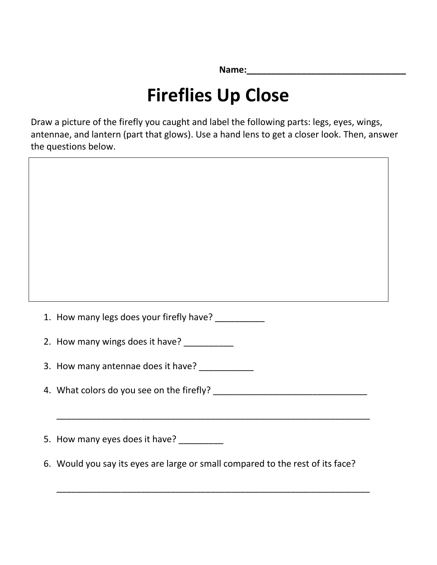**Name:\_\_\_\_\_\_\_\_\_\_\_\_\_\_\_\_\_\_\_\_\_\_\_\_\_\_\_\_\_\_\_\_**

### **Fireflies Up Close**

Draw a picture of the firefly you caught and label the following parts: legs, eyes, wings, antennae, and lantern (part that glows). Use a hand lens to get a closer look. Then, answer the questions below.



5. How many eyes does it have?

6. Would you say its eyes are large or small compared to the rest of its face?

\_\_\_\_\_\_\_\_\_\_\_\_\_\_\_\_\_\_\_\_\_\_\_\_\_\_\_\_\_\_\_\_\_\_\_\_\_\_\_\_\_\_\_\_\_\_\_\_\_\_\_\_\_\_\_\_\_\_\_\_\_\_\_